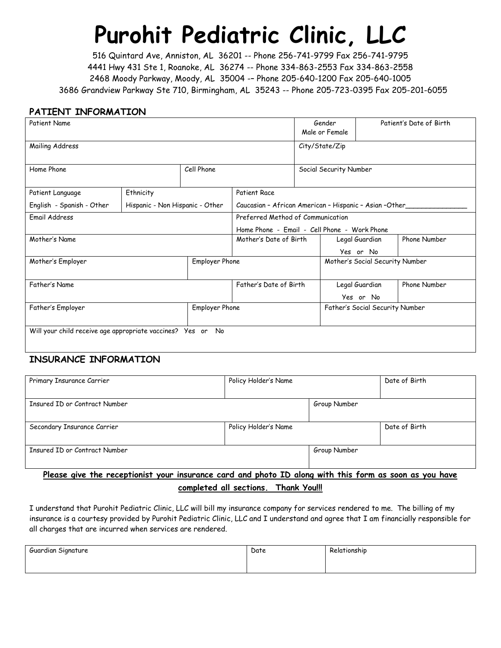## **Purohit Pediatric Clinic, LLC**

516 Quintard Ave, Anniston, AL 36201 -- Phone 256-741-9799 Fax 256-741-9795 4441 Hwy 431 Ste 1, Roanoke, AL 36274 -- Phone 334-863-2553 Fax 334-863-2558 2468 Moody Parkway, Moody, AL 35004 -– Phone 205-640-1200 Fax 205-640-1005 3686 Grandview Parkway Ste 710, Birmingham, AL 35243 -- Phone 205-723-0395 Fax 205-201-6055

#### **PATIENT INFORMATION**

| <b>Patient Name</b>                                         |                                 |                                 |                                                        | Gender<br>Male or Female        |                |              | Patient's Date of Birth |
|-------------------------------------------------------------|---------------------------------|---------------------------------|--------------------------------------------------------|---------------------------------|----------------|--------------|-------------------------|
| Mailing Address                                             |                                 |                                 |                                                        | City/State/Zip                  |                |              |                         |
| Cell Phone<br>Home Phone                                    |                                 |                                 | Social Security Number                                 |                                 |                |              |                         |
| Patient Language                                            | Ethnicity                       |                                 | <b>Patient Race</b>                                    |                                 |                |              |                         |
| English - Spanish - Other                                   | Hispanic - Non Hispanic - Other |                                 | Caucasian - African American - Hispanic - Asian -Other |                                 |                |              |                         |
| Email Address                                               |                                 |                                 | Preferred Method of Communication                      |                                 |                |              |                         |
|                                                             |                                 |                                 | Home Phone - Email - Cell Phone - Work Phone           |                                 |                |              |                         |
| Mother's Name                                               |                                 | Mother's Date of Birth          |                                                        | Legal Guardian                  |                | Phone Number |                         |
|                                                             |                                 |                                 |                                                        |                                 | Yes or No      |              |                         |
| Employer Phone<br>Mother's Employer                         |                                 | Mother's Social Security Number |                                                        |                                 |                |              |                         |
| Father's Name                                               |                                 |                                 | Father's Date of Birth                                 |                                 | Legal Guardian |              | Phone Number            |
|                                                             |                                 |                                 |                                                        |                                 | Yes or No      |              |                         |
| Father's Employer<br>Employer Phone                         |                                 |                                 |                                                        | Father's Social Security Number |                |              |                         |
| Will your child receive age appropriate vaccines? Yes or No |                                 |                                 |                                                        |                                 |                |              |                         |

#### **INSURANCE INFORMATION**

| Primary Insurance Carrier                                                                              | Policy Holder's Name |              | Date of Birth |
|--------------------------------------------------------------------------------------------------------|----------------------|--------------|---------------|
| Insured ID or Contract Number                                                                          |                      | Group Number |               |
| Secondary Insurance Carrier                                                                            | Policy Holder's Name |              | Date of Birth |
| Insured ID or Contract Number                                                                          |                      | Group Number |               |
| Please give the receptionist your insurance card and photo ID along with this form as soon as you have |                      |              |               |

#### **completed all sections. Thank You!!!**

I understand that Purohit Pediatric Clinic, LLC will bill my insurance company for services rendered to me. The billing of my insurance is a courtesy provided by Purohit Pediatric Clinic, LLC and I understand and agree that I am financially responsible for all charges that are incurred when services are rendered.

| <b>.</b><br>Guardian Signature | Date | Relationship |
|--------------------------------|------|--------------|
|                                |      |              |